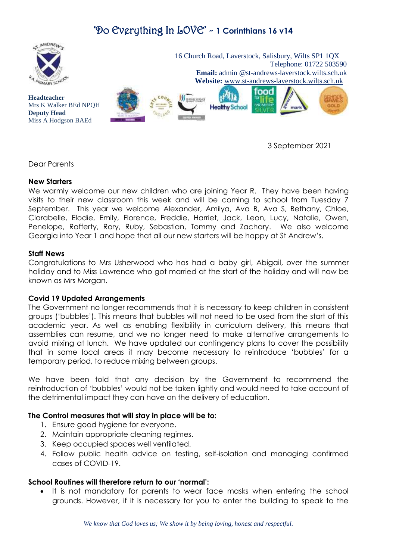

3 September 2021

Dear Parents

### **New Starters**

We warmly welcome our new children who are joining Year R. They have been having visits to their new classroom this week and will be coming to school from Tuesday 7 September. This year we welcome Alexander, Amilya, Ava B, Ava S, Bethany, Chloe, Clarabelle, Elodie, Emily, Florence, Freddie, Harriet, Jack, Leon, Lucy, Natalie, Owen, Penelope, Rafferty, Rory, Ruby, Sebastian, Tommy and Zachary. We also welcome Georgia into Year 1 and hope that all our new starters will be happy at St Andrew's.

### **Staff News**

Congratulations to Mrs Usherwood who has had a baby girl, Abigail, over the summer holiday and to Miss Lawrence who got married at the start of the holiday and will now be known as Mrs Morgan.

#### **Covid 19 Updated Arrangements**

The Government no longer recommends that it is necessary to keep children in consistent groups ('bubbles'). This means that bubbles will not need to be used from the start of this academic year. As well as enabling flexibility in curriculum delivery, this means that assemblies can resume, and we no longer need to make alternative arrangements to avoid mixing at lunch. We have updated our contingency plans to cover the possibility that in some local areas it may become necessary to reintroduce 'bubbles' for a temporary period, to reduce mixing between groups.

We have been told that any decision by the Government to recommend the reintroduction of 'bubbles' would not be taken lightly and would need to take account of the detrimental impact they can have on the delivery of education.

### **The Control measures that will stay in place will be to:**

- 1. Ensure good hygiene for everyone.
- 2. Maintain appropriate cleaning regimes.
- 3. Keep occupied spaces well ventilated.
- 4. Follow public health advice on testing, self-isolation and managing confirmed cases of COVID-19.

#### **School Routines will therefore return to our 'normal':**

 It is not mandatory for parents to wear face masks when entering the school grounds. However, if it is necessary for you to enter the building to speak to the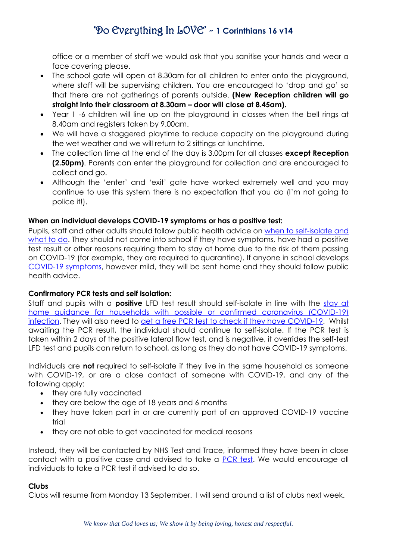office or a member of staff we would ask that you sanitise your hands and wear a face covering please.

- The school gate will open at 8.30am for all children to enter onto the playground, where staff will be supervising children. You are encouraged to 'drop and go' so that there are not gatherings of parents outside. **(New Reception children will go straight into their classroom at 8.30am – door will close at 8.45am).**
- Year 1 -6 children will line up on the playground in classes when the bell rings at 8.40am and registers taken by 9.00am.
- We will have a staggered playtime to reduce capacity on the playground during the wet weather and we will return to 2 sittings at lunchtime.
- The collection time at the end of the day is 3.00pm for all classes **except Reception (2.50pm)**. Parents can enter the playground for collection and are encouraged to collect and go.
- Although the 'enter' and 'exit' gate have worked extremely well and you may continue to use this system there is no expectation that you do (I'm not going to police it!).

### **When an individual develops COVID-19 symptoms or has a positive test:**

Pupils, staff and other adults should follow public health advice on [when to self-isolate and](https://www.nhs.uk/conditions/coronavirus-covid-19/self-isolation-and-treatment/when-to-self-isolate-and-what-to-do/)  [what to do.](https://www.nhs.uk/conditions/coronavirus-covid-19/self-isolation-and-treatment/when-to-self-isolate-and-what-to-do/) They should not come into school if they have symptoms, have had a positive test result or other reasons requiring them to stay at home due to the risk of them passing on COVID-19 (for example, they are required to quarantine). If anyone in school develops [COVID-19 symptoms,](https://www.nhs.uk/conditions/coronavirus-covid-19/symptoms/) however mild, they will be sent home and they should follow public health advice.

### **Confirmatory PCR tests and self isolation:**

Staff and pupils with a **positive** LFD test result should self-isolate in line with the [stay at](https://www.gov.uk/government/publications/covid-19-stay-at-home-guidance/stay-at-home-guidance-for-households-with-possible-coronavirus-covid-19-infection)  [home guidance for households with possible or confirmed coronavirus \(COVID-19\)](https://www.gov.uk/government/publications/covid-19-stay-at-home-guidance/stay-at-home-guidance-for-households-with-possible-coronavirus-covid-19-infection)  [infection.](https://www.gov.uk/government/publications/covid-19-stay-at-home-guidance/stay-at-home-guidance-for-households-with-possible-coronavirus-covid-19-infection) They will also need to [get a free PCR test to check if they have COVID-19.](https://www.gov.uk/get-coronavirus-test) Whilst awaiting the PCR result, the individual should continue to self-isolate. If the PCR test is taken within 2 days of the positive lateral flow test, and is negative, it overrides the self-test LFD test and pupils can return to school, as long as they do not have COVID-19 symptoms.

Individuals are **not** required to self-isolate if they live in the same household as someone with COVID-19, or are a close contact of someone with COVID-19, and any of the following apply:

- they are fully vaccinated
- they are below the age of 18 years and 6 months
- they have taken part in or are currently part of an approved COVID-19 vaccine trial
- they are not able to get vaccinated for medical reasons

Instead, they will be contacted by NHS Test and Trace, informed they have been in close contact with a positive case and advised to take a [PCR test.](https://www.gov.uk/get-coronavirus-test) We would encourage all individuals to take a PCR test if advised to do so.

### **Clubs**

Clubs will resume from Monday 13 September. I will send around a list of clubs next week.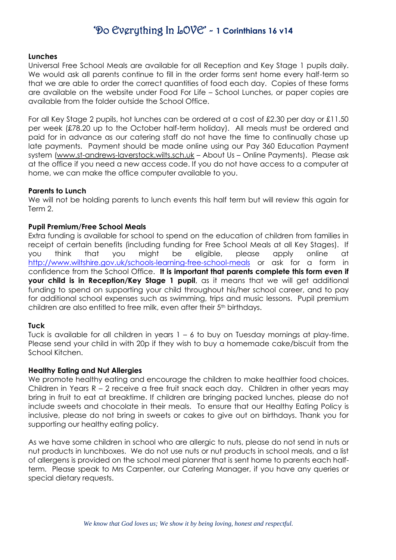#### **Lunches**

Universal Free School Meals are available for all Reception and Key Stage 1 pupils daily. We would ask all parents continue to fill in the order forms sent home every half-term so that we are able to order the correct quantities of food each day. Copies of these forms are available on the website under Food For Life – School Lunches, or paper copies are available from the folder outside the School Office.

For all Key Stage 2 pupils, hot lunches can be ordered at a cost of £2.30 per day or £11.50 per week (£78.20 up to the October half-term holiday). All meals must be ordered and paid for in advance as our catering staff do not have the time to continually chase up late payments. Payment should be made online using our Pay 360 Education Payment system [\(www.st-andrews-laverstock.wilts.sch.uk](http://www.st-andrews-laverstock.wilts.sch.uk/) – About Us – Online Payments). Please ask at the office if you need a new access code. If you do not have access to a computer at home, we can make the office computer available to you.

#### **Parents to Lunch**

We will not be holding parents to lunch events this half term but will review this again for Term 2.

#### **Pupil Premium/Free School Meals**

Extra funding is available for school to spend on the education of children from families in receipt of certain benefits (including funding for Free School Meals at all Key Stages). If you think that you might be eligible, please apply online at <http://www.wiltshire.gov.uk/schools-learning-free-school-meals> or ask for a form in confidence from the School Office. **It is important that parents complete this form even if your child is in Reception/Key Stage 1 pupil**, as it means that we will get additional funding to spend on supporting your child throughout his/her school career, and to pay for additional school expenses such as swimming, trips and music lessons. Pupil premium children are also entitled to free milk, even after their 5<sup>th</sup> birthdays.

#### **Tuck**

Tuck is available for all children in years 1 – 6 to buy on Tuesday mornings at play-time. Please send your child in with 20p if they wish to buy a homemade cake/biscuit from the School Kitchen.

#### **Healthy Eating and Nut Allergies**

We promote healthy eating and encourage the children to make healthier food choices. Children in Years R – 2 receive a free fruit snack each day. Children in other years may bring in fruit to eat at breaktime. If children are bringing packed lunches, please do not include sweets and chocolate in their meals. To ensure that our Healthy Eating Policy is inclusive, please do not bring in sweets or cakes to give out on birthdays. Thank you for supporting our healthy eating policy.

As we have some children in school who are allergic to nuts, please do not send in nuts or nut products in lunchboxes. We do not use nuts or nut products in school meals, and a list of allergens is provided on the school meal planner that is sent home to parents each halfterm. Please speak to Mrs Carpenter, our Catering Manager, if you have any queries or special dietary requests.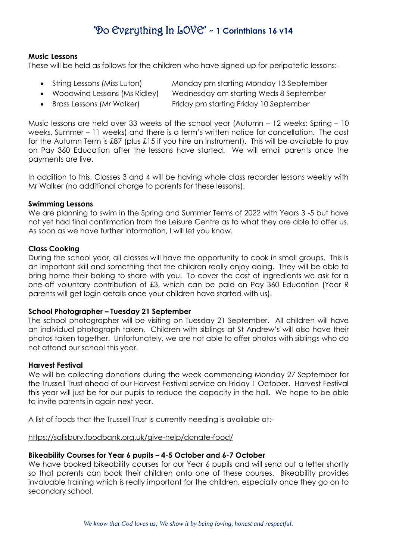#### **Music Lessons**

These will be held as follows for the children who have signed up for peripatetic lessons:-

- String Lessons (Miss Luton) Monday pm starting Monday 13 September
- 

 Woodwind Lessons (Ms Ridley) Wednesday am starting Weds 8 September Brass Lessons (Mr Walker) Friday pm starting Friday 10 September

Music lessons are held over 33 weeks of the school year (Autumn – 12 weeks; Spring – 10 weeks, Summer – 11 weeks) and there is a term's written notice for cancellation. The cost for the Autumn Term is £87 (plus £15 if you hire an instrument). This will be available to pay on Pay 360 Education after the lessons have started. We will email parents once the payments are live.

In addition to this, Classes 3 and 4 will be having whole class recorder lessons weekly with Mr Walker (no additional charge to parents for these lessons).

#### **Swimming Lessons**

We are planning to swim in the Spring and Summer Terms of 2022 with Years 3 -5 but have not yet had final confirmation from the Leisure Centre as to what they are able to offer us. As soon as we have further information, I will let you know.

### **Class Cooking**

During the school year, all classes will have the opportunity to cook in small groups. This is an important skill and something that the children really enjoy doing. They will be able to bring home their baking to share with you. To cover the cost of ingredients we ask for a one-off voluntary contribution of £3, which can be paid on Pay 360 Education (Year R parents will get login details once your children have started with us).

#### **School Photographer – Tuesday 21 September**

The school photographer will be visiting on Tuesday 21 September.All children will have an individual photograph taken. Children with siblings at St Andrew's will also have their photos taken together. Unfortunately, we are not able to offer photos with siblings who do not attend our school this year.

#### **Harvest Festival**

We will be collecting donations during the week commencing Monday 27 September for the Trussell Trust ahead of our Harvest Festival service on Friday 1 October. Harvest Festival this year will just be for our pupils to reduce the capacity in the hall. We hope to be able to invite parents in again next year.

A list of foods that the Trussell Trust is currently needing is available at:-

<https://salisbury.foodbank.org.uk/give-help/donate-food/>

### **Bikeability Courses for Year 6 pupils – 4-5 October and 6-7 October**

We have booked bikeability courses for our Year 6 pupils and will send out a letter shortly so that parents can book their children onto one of these courses. Bikeability provides invaluable training which is really important for the children, especially once they go on to secondary school.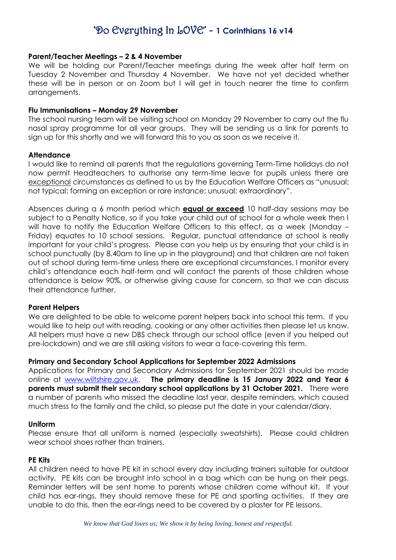#### **Parent/Teacher Meetings – 2 & 4 November**

We will be holding our Parent/Teacher meetings during the week after half term on Tuesday 2 November and Thursday 4 November. We have not yet decided whether these will be in person or on Zoom but I will get in touch nearer the time to confirm arrangements.

#### **Flu Immunisations – Monday 29 November**

The school nursing team will be visiting school on Monday 29 November to carry out the flu nasal spray programme for all year groups. They will be sending us a link for parents to sign up for this shortly and we will forward this to you as soon as we receive it.

#### **Attendance**

I would like to remind all parents that the regulations governing Term-Time holidays do not now permit Headteachers to authorise any term-time leave for pupils unless there are exceptional circumstances as defined to us by the Education Welfare Officers as "unusual; not typical; forming an exception or rare instance; unusual; extraordinary".

Absences during a 6 month period which **equal or exceed** 10 half-day sessions may be subject to a Penalty Notice, so if you take your child out of school for a whole week then I will have to notify the Education Welfare Officers to this effect, as a week (Monday -Friday) equates to 10 school sessions. Regular, punctual attendance at school is really important for your child's progress. Please can you help us by ensuring that your child is in school punctually (by 8.40am to line up in the playground) and that children are not taken out of school during term-time unless there are exceptional circumstances. I monitor every child's attendance each half-term and will contact the parents of those children whose attendance is below 90%, or otherwise giving cause for concern, so that we can discuss their attendance further.

#### **Parent Helpers**

We are delighted to be able to welcome parent helpers back into school this term. If you would like to help out with reading, cooking or any other activities then please let us know. All helpers must have a new DBS check through our school office (even if you helped out pre-lockdown) and we are still asking visitors to wear a face-covering this term.

#### **Primary and Secondary School Applications for September 2022 Admissions**

Applications for Primary and Secondary Admissions for September 2021 should be made online at [www.wiltshire.gov.uk.](http://www.wiltshire.gov.uk/) **The primary deadline is 15 January 2022 and Year 6 parents must submit their secondary school applications by 31 October 2021.** There were a number of parents who missed the deadline last year, despite reminders, which caused much stress to the family and the child, so please put the date in your calendar/diary.

#### **Uniform**

Please ensure that all uniform is named (especially sweatshirts). Please could children wear school shoes rather than trainers.

#### **PE Kits**

All children need to have PE kit in school every day including trainers suitable for outdoor activity. PE kits can be brought into school in a bag which can be hung on their pegs. Reminder letters will be sent home to parents whose children come without kit. If your child has ear-rings, they should remove these for PE and sporting activities. If they are unable to do this, then the ear-rings need to be covered by a plaster for PE lessons.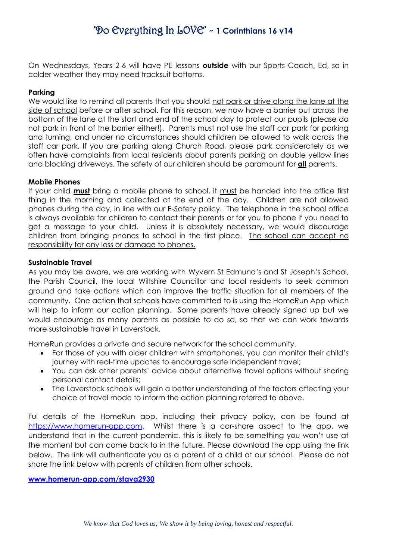On Wednesdays, Years 2-6 will have PE lessons **outside** with our Sports Coach, Ed, so in colder weather they may need tracksuit bottoms.

### **Parking**

We would like to remind all parents that you should not park or drive along the lane at the side of school before or after school. For this reason, we now have a barrier put across the bottom of the lane at the start and end of the school day to protect our pupils (please do not park in front of the barrier either!). Parents must not use the staff car park for parking and turning, and under no circumstances should children be allowed to walk across the staff car park. If you are parking along Church Road, please park considerately as we often have complaints from local residents about parents parking on double yellow lines and blocking driveways. The safety of our children should be paramount for **all** parents.

### **Mobile Phones**

If your child **must** bring a mobile phone to school, it must be handed into the office first thing in the morning and collected at the end of the day. Children are not allowed phones during the day, in line with our E-Safety policy. The telephone in the school office is always available for children to contact their parents or for you to phone if you need to get a message to your child. Unless it is absolutely necessary, we would discourage children from bringing phones to school in the first place. The school can accept no responsibility for any loss or damage to phones.

### **Sustainable Travel**

As you may be aware, we are working with Wyvern St Edmund's and St Joseph's School, the Parish Council, the local Wiltshire Councillor and local residents to seek common ground and take actions which can improve the traffic situation for all members of the community. One action that schools have committed to is using the HomeRun App which will help to inform our action planning. Some parents have already signed up but we would encourage as many parents as possible to do so, so that we can work towards more sustainable travel in Laverstock.

HomeRun provides a private and secure network for the school community.

- For those of you with older children with smartphones, you can monitor their child's journey with real-time updates to encourage safe independent travel;
- You can ask other parents' advice about alternative travel options without sharing personal contact details;
- The Laverstock schools will gain a better understanding of the factors affecting your choice of travel mode to inform the action planning referred to above.

Ful details of the HomeRun app, including their privacy policy, can be found at [https://www.homerun-app.com.](https://www.homerun-app.com/) Whilst there is a car-share aspect to the app, we understand that in the current pandemic, this is likely to be something you won't use at the moment but can come back to in the future. Please download the app using the link below. The link will authenticate you as a parent of a child at our school. Please do not share the link below with parents of children from other schools.

#### **[www.homerun-app.com/stava2930](http://www.homerun-app.com/stava2930)**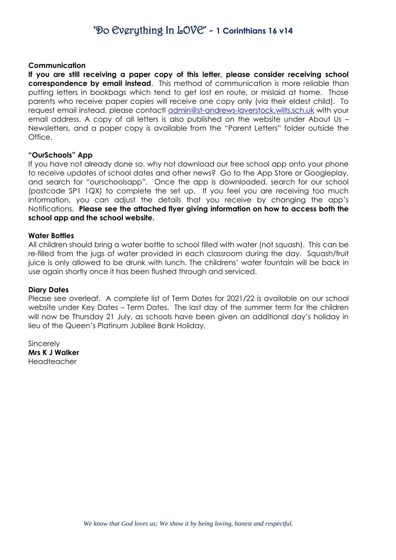#### **Communication**

**If you are still receiving a paper copy of this letter, please consider receiving school correspondence by email instead**. This method of communication is more reliable than putting letters in bookbags which tend to get lost en route, or mislaid at home. Those parents who receive paper copies will receive one copy only (via their eldest child). To request email instead, please contactl [admin@st-andrews-laverstock.wilts.sch.uk](mailto:admin@st-andrews-laverstock.wilts.sch.uk) with your email address. A copy of all letters is also published on the website under About Us – Newsletters, and a paper copy is available from the "Parent Letters" folder outside the Office.

#### **"OurSchools" App**

If you have not already done so, why not download our free school app onto your phone to receive updates of school dates and other news? Go to the App Store or Googleplay, and search for "ourschoolsapp". Once the app is downloaded, search for our school (postcode SP1 1QX) to complete the set up. If you feel you are receiving too much information, you can adjust the details that you receive by changing the app's Notifications. **Please see the attached flyer giving information on how to access both the school app and the school website.**

#### **Water Bottles**

All children should bring a water bottle to school filled with water (not squash). This can be re-filled from the jugs of water provided in each classroom during the day. Squash/fruit juice is only allowed to be drunk with lunch. The childrens' water fountain will be back in use again shortly once it has been flushed through and serviced.

#### **Diary Dates**

Please see overleaf. A complete list of Term Dates for 2021/22 is available on our school website under Key Dates – Term Dates. The last day of the summer term for the children will now be Thursday 21 July, as schools have been given an additional day's holiday in lieu of the Queen's Platinum Jubilee Bank Holiday.

Sincerely **Mrs K J Walker** Headteacher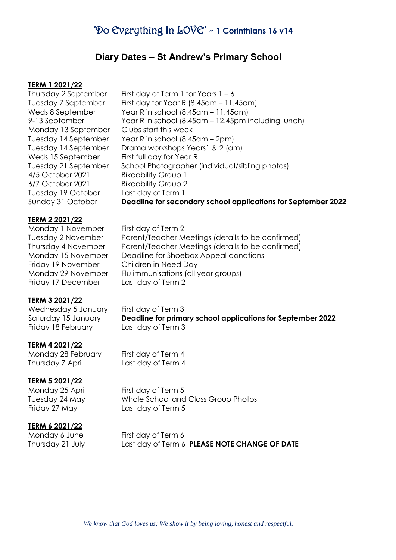### **Diary Dates – St Andrew's Primary School**

#### **TERM 1 2021/22**

Thursday 2 September Tuesday 7 September Weds 8 September 9-13 September Monday 13 September Tuesday 14 September Tuesday 14 September Weds 15 September Tuesday 21 September 4/5 October 2021 6/7 October 2021 Tuesday 19 October Sunday 31 October First day of Term 1 for Years  $1 - 6$ First day for Year R (8.45am – 11.45am) Year R in school (8.45am – 11.45am) Year R in school (8.45am – 12.45pm including lunch) Clubs start this week Year R in school (8.45am – 2pm) Drama workshops Years1 & 2 (am) First full day for Year R School Photographer (individual/sibling photos) Bikeability Group 1 Bikeability Group 2 Last day of Term 1 **Deadline for secondary school applications for September 2022**

#### **TERM 2 2021/22**

Monday 1 November Tuesday 2 November Thursday 4 November Monday 15 November Friday 19 November Monday 29 November Friday 17 December

First day of Term 2 Parent/Teacher Meetings (details to be confirmed) Parent/Teacher Meetings (details to be confirmed) Deadline for Shoebox Appeal donations Children in Need Day Flu immunisations (all year groups) Last day of Term 2

#### **TERM 3 2021/22**

Wednesday 5 January Saturday 15 January Friday 18 February

First day of Term 3 **Deadline for primary school applications for September 2022** Last day of Term 3

#### **TERM 4 2021/22**

Monday 28 February Thursday 7 April

#### **TERM 5 2021/22**

Monday 25 April Tuesday 24 May Friday 27 May

First day of Term 5 Whole School and Class Group Photos Last day of Term 5

First day of Term 4 Last day of Term 4

#### **TERM 6 2021/22**

Monday 6 June Thursday 21 July First day of Term 6 Last day of Term 6 **PLEASE NOTE CHANGE OF DATE**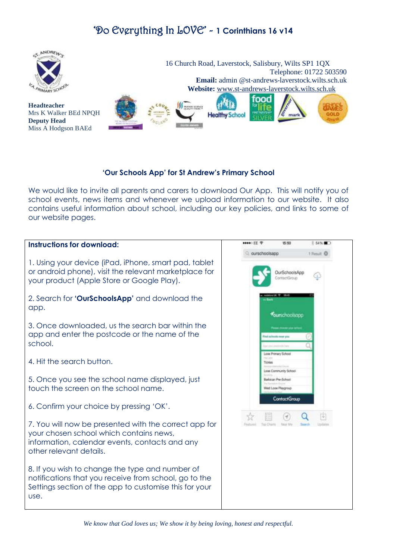

### **'Our Schools App' for St Andrew's Primary School**

We would like to invite all parents and carers to download Our App. This will notify you of school events, news items and whenever we upload information to our website. It also contains useful information about school, including our key policies, and links to some of our website pages.

#### \*\*\*\* 王 宁 15:50 8 54%■ **Instructions for download:**  Q ourschoolsapp + Result O 1. Using your device (iPad, iPhone, smart pad, tablet or android phone), visit the relevant marketplace for OurSchoolsApp Œ ontactGroup your product (Apple Store or Google Play). 2. Search for **'OurSchoolsApp'** and download the app. **Vourschoolsapp** 3. Once downloaded, us the search bar within the app and enter the postcode or the name of the **AMERICA** school. Loop Pranary School 4. Hit the search button. Tickias Loos Community School 5. Once you see the school name displayed, just Batteran Pre-School touch the screen on the school name. If Loop Playgroup ContactGroup 6. Confirm your choice by pressing 'OK'. Q 围  $(\mathcal{A})$ 7. You will now be presented with the correct app for your chosen school which contains news, information, calendar events, contacts and any other relevant details. 8. If you wish to change the type and number of notifications that you receive from school, go to the Settings section of the app to customise this for your use.

*We know that God loves us; We show it by being loving, honest and respectful.*